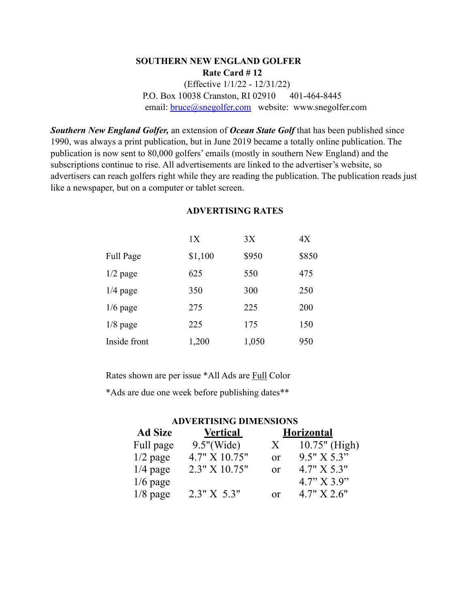## **SOUTHERN NEW ENGLAND GOLFER Rate Card # 12** (Effective 1/1/22 - 12/31/22) P.O. Box 10038 Cranston, RI 02910 401-464-8445 email: **bruce**@snegolfer.com website: www.snegolfer.com

*Southern New England Golfer,* an extension of *Ocean State Golf* that has been published since 1990, was always a print publication, but in June 2019 became a totally online publication. The publication is now sent to 80,000 golfers' emails (mostly in southern New England) and the subscriptions continue to rise. All advertisements are linked to the advertiser's website, so advertisers can reach golfers right while they are reading the publication. The publication reads just like a newspaper, but on a computer or tablet screen.

|              | 1X      | 3X    | 4X    |
|--------------|---------|-------|-------|
| Full Page    | \$1,100 | \$950 | \$850 |
| $1/2$ page   | 625     | 550   | 475   |
| $1/4$ page   | 350     | 300   | 250   |
| $1/6$ page   | 275     | 225   | 200   |
| $1/8$ page   | 225     | 175   | 150   |
| Inside front | 1,200   | 1,050 | 950   |

## **ADVERTISING RATES**

Rates shown are per issue \*All Ads are Full Color

\*Ads are due one week before publishing dates\*\*

## **ADVERTISING DIMENSIONS**

| <b>Ad Size</b> | <u>Vertical</u> |          | <b>Horizontal</b> |
|----------------|-----------------|----------|-------------------|
| Full page      | $9.5$ "(Wide)   | X        | $10.75"$ (High)   |
| $1/2$ page     | 4.7" X 10.75"   | $\alpha$ | 9.5" X 5.3"       |
| $1/4$ page     | 2.3" X 10.75"   | or       | 4.7" X 5.3"       |
| $1/6$ page     |                 |          | 4.7" X 3.9"       |
| $1/8$ page     | 2.3" X 5.3"     | Ωr       | 4.7" X 2.6"       |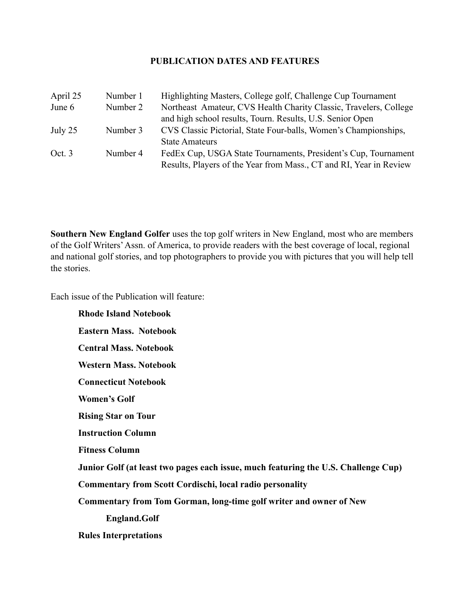## **PUBLICATION DATES AND FEATURES**

| April 25 | Number 1 | Highlighting Masters, College golf, Challenge Cup Tournament       |
|----------|----------|--------------------------------------------------------------------|
| June 6   | Number 2 | Northeast Amateur, CVS Health Charity Classic, Travelers, College  |
|          |          | and high school results, Tourn. Results, U.S. Senior Open          |
| July 25  | Number 3 | CVS Classic Pictorial, State Four-balls, Women's Championships,    |
|          |          | <b>State Amateurs</b>                                              |
| Oct. 3   | Number 4 | FedEx Cup, USGA State Tournaments, President's Cup, Tournament     |
|          |          | Results, Players of the Year from Mass., CT and RI, Year in Review |

**Southern New England Golfer** uses the top golf writers in New England, most who are members of the Golf Writers' Assn. of America, to provide readers with the best coverage of local, regional and national golf stories, and top photographers to provide you with pictures that you will help tell the stories.

Each issue of the Publication will feature:

**Rhode Island Notebook Eastern Mass. Notebook Central Mass. Notebook Western Mass. Notebook Connecticut Notebook Women's Golf Rising Star on Tour Instruction Column Fitness Column Junior Golf (at least two pages each issue, much featuring the U.S. Challenge Cup) Commentary from Scott Cordischi, local radio personality Commentary from Tom Gorman, long-time golf writer and owner of New England.Golf Rules Interpretations**